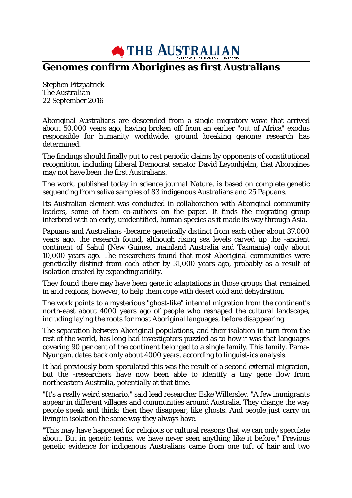**THE AUSTRALIAN** 

## **Genomes confirm Aborigines as first Australians**

Stephen Fitzpatrick *The Australian* 22 September 2016

Aboriginal Australians are descended from a single migratory wave that arrived about 50,000 years ago, having broken off from an earlier "out of Africa" exodus responsible for humanity worldwide, ground breaking genome research has determined.

The findings should finally put to rest periodic claims by opponents of constitutional recognition, including Liberal Democrat senator David Leyonhjelm, that Aborigines may not have been the first Australians.

The work, published today in science journal Nature, is based on complete genetic sequencing from saliva samples of 83 indigenous Australians and 25 Papuans.

Its Australian element was conducted in collaboration with Aboriginal community leaders, some of them co-authors on the paper. It finds the migrating group interbred with an early, unidentified, human species as it made its way through Asia.

Papuans and Australians -became genetically distinct from each other about 37,000 years ago, the research found, although rising sea levels carved up the -ancient continent of Sahul (New Guinea, mainland Australia and Tasmania) only about 10,000 years ago. The researchers found that most Aboriginal communities were genetically distinct from each other by 31,000 years ago, probably as a result of isolation created by expanding aridity.

They found there may have been genetic adaptations in those groups that remained in arid regions, however, to help them cope with desert cold and dehydration.

The work points to a mysterious "ghost-like" internal migration from the continent's north-east about 4000 years ago of people who reshaped the cultural landscape, including laying the roots for most Aboriginal languages, before disappearing.

The separation between Aboriginal populations, and their isolation in turn from the rest of the world, has long had investigators puzzled as to how it was that languages covering 90 per cent of the continent belonged to a single family. This family, Pama-Nyungan, dates back only about 4000 years, according to linguist-ics analysis.

It had previously been speculated this was the result of a second external migration, but the -researchers have now been able to identify a tiny gene flow from northeastern Australia, potentially at that time.

"It's a really weird scenario," said lead researcher Eske Willerslev. "A few immigrants appear in different villages and communities around Australia. They change the way people speak and think; then they disappear, like ghosts. And people just carry on living in isolation the same way they always have.

"This may have happened for religious or cultural reasons that we can only speculate about. But in genetic terms, we have never seen anything like it before." Previous genetic evidence for indigenous Australians came from one tuft of hair and two